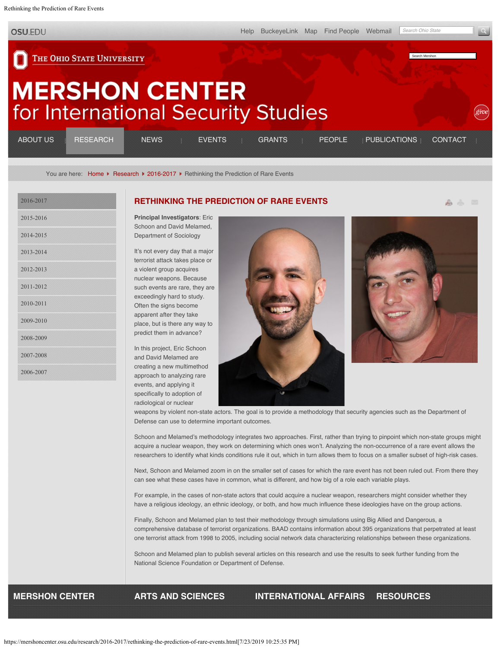<span id="page-0-0"></span>Rethinking the Prediction of Rare Events

**OSU.EDU** 

[Help](http://www.osu.edu/help.php) [BuckeyeLink](http://buckeyelink.osu.edu/) [Map](http://www.osu.edu/map/) [Find People](http://www.osu.edu/findpeople.php) [Webmail](https://email.osu.edu/) *Search Ohio State*

ふふ ロ

Search Mershon

## THE OHIO STATE UNIVERSITY

## **MERSHON CENTER** for International Security Studies

| <b>ABOUT US</b> | <b>RESEARCH</b> | <b>NEWS</b> | <b>EVENTS</b> | GRANTS : PEOPLE | <b>PUBLICATIONS</b> | CONTACT |
|-----------------|-----------------|-------------|---------------|-----------------|---------------------|---------|
|                 |                 |             |               |                 |                     |         |

You are here: [Home](https://mershoncenter.osu.edu/) ▶ [Research](https://mershoncenter.osu.edu/research.html) ▶ [2016-2017](https://mershoncenter.osu.edu/research/2016-2017.html) ▶ Rethinking the Prediction of Rare Events

| 2016-2017 |
|-----------|
| 2015-2016 |
| 2014-2015 |
| 2013-2014 |
| 2012-2013 |
| 2011-2012 |
| 2010-2011 |
| 2009-2010 |
| 2008-2009 |
| 2007-2008 |
| 2006-2007 |

## **[RETHINKING THE PREDICTION OF RARE EVENTS](#page-0-0)**

**Principal Investigators**: Eric Schoon and David Melamed, Department of Sociology

It's not every day that a major terrorist attack takes place or a violent group acquires nuclear weapons. Because such events are rare, they are exceedingly hard to study. Often the signs become apparent after they take place, but is there any way to predict them in advance?

In this project, Eric Schoon and David Melamed are creating a new multimethod approach to analyzing rare events, and applying it specifically to adoption of radiological or nuclear





weapons by violent non-state actors. The goal is to provide a methodology that security agencies such as the Department of Defense can use to determine important outcomes.

Schoon and Melamed's methodology integrates two approaches. First, rather than trying to pinpoint which non-state groups might acquire a nuclear weapon, they work on determining which ones won't. Analyzing the non-occurrence of a rare event allows the researchers to identify what kinds conditions rule it out, which in turn allows them to focus on a smaller subset of high-risk cases.

Next, Schoon and Melamed zoom in on the smaller set of cases for which the rare event has not been ruled out. From there they can see what these cases have in common, what is different, and how big of a role each variable plays.

For example, in the cases of non-state actors that could acquire a nuclear weapon, researchers might consider whether they have a religious ideology, an ethnic ideology, or both, and how much influence these ideologies have on the group actions.

Finally, Schoon and Melamed plan to test their methodology through simulations using Big Allied and Dangerous, a comprehensive database of terrorist organizations. BAAD contains information about 395 organizations that perpetrated at least one terrorist attack from 1998 to 2005, including social network data characterizing relationships between these organizations.

Schoon and Melamed plan to publish several articles on this research and use the results to seek further funding from the National Science Foundation or Department of Defense.

**MERSHON CENTER ARTS AND SCIENCES INTERNATIONAL AFFAIRS RESOURCES**